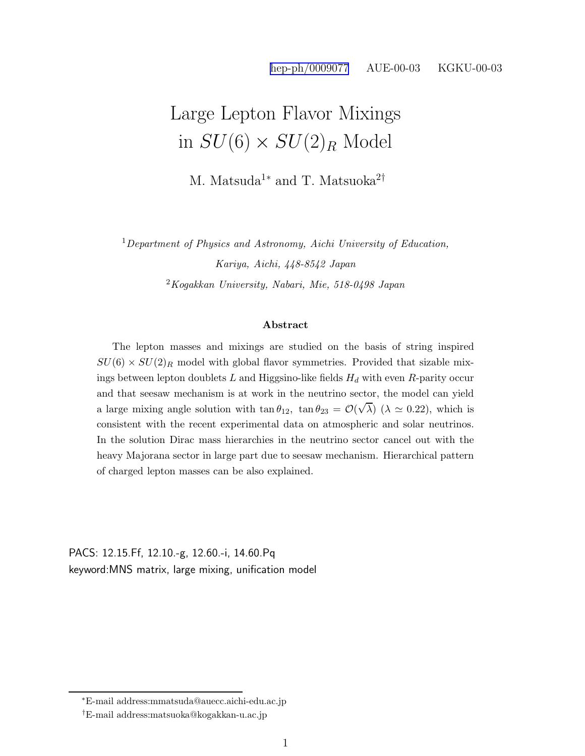## Large Lepton Flavor Mixings in  $SU(6) \times SU(2)_R$  Model

M. Matsuda<sup>1</sup><sup>\*</sup> and T. Matsuoka<sup>2†</sup>

<sup>1</sup>Department of Physics and Astronomy, Aichi University of Education,

Kariya, Aichi, 448-8542 Japan  $2Kogakkan$  University, Nabari, Mie, 518-0498 Japan

## Abstract

The lepton masses and mixings are studied on the basis of string inspired  $SU(6) \times SU(2)_R$  model with global flavor symmetries. Provided that sizable mixings between lepton doublets  $L$  and Higgsino-like fields  $H_d$  with even R-parity occur and that seesaw mechanism is at work in the neutrino sector, the model can yield a large mixing angle solution with  $\tan \theta_{12}$ ,  $\tan \theta_{23} = \mathcal{O}(\sqrt{\lambda})$  ( $\lambda \approx 0.22$ ), which is consistent with the recent experimental data on atmospheric and solar neutrinos. In the solution Dirac mass hierarchies in the neutrino sector cancel out with the heavy Majorana sector in large part due to seesaw mechanism. Hierarchical pattern of charged lepton masses can be also explained.

PACS: 12.15.Ff, 12.10.-g, 12.60.-i, 14.60.Pq keyword:MNS matrix, large mixing, unification model

<sup>∗</sup>E-mail address:mmatsuda@auecc.aichi-edu.ac.jp

<sup>†</sup>E-mail address:matsuoka@kogakkan-u.ac.jp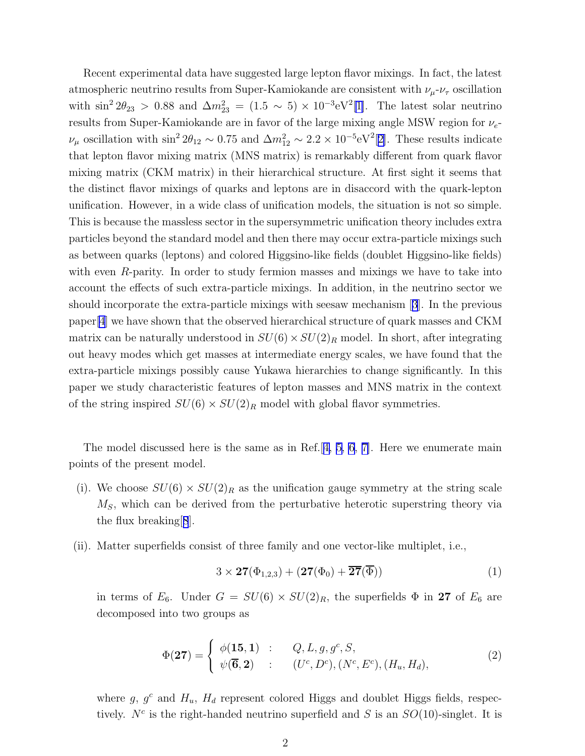Recent experimental data have suggested large lepton flavor mixings. In fact, the latest atmospheric neutrino results from Super-Kamiokande are consistent with  $\nu_\mu$ - $\nu_\tau$  oscillation with  $\sin^2 2\theta_{23} > 0.88$  and  $\Delta m_{23}^2 = (1.5 \sim 5) \times 10^{-3} \text{eV}^2[1]$  $\Delta m_{23}^2 = (1.5 \sim 5) \times 10^{-3} \text{eV}^2[1]$ . The latest solar neutrino results from Super-Kamiokande are in favor of the large mixing angle MSW region for  $\nu_e$ - $\nu_\mu$  oscillation with  $\sin^2 2\theta_{12} \sim 0.75$  and  $\Delta m_{12}^2 \sim 2.2 \times 10^{-5} \text{eV}^2[2]$  $\Delta m_{12}^2 \sim 2.2 \times 10^{-5} \text{eV}^2[2]$ . These results indicate that lepton flavor mixing matrix (MNS matrix) is remarkably different from quark flavor mixing matrix (CKM matrix) in their hierarchical structure. At first sight it seems that the distinct flavor mixings of quarks and leptons are in disaccord with the quark-lepton unification. However, in a wide class of unification models, the situation is not so simple. This is because the massless sector in the supersymmetric unification theory includes extra particles beyond the standard model and then there may occur extra-particle mixings such as between quarks (leptons) and colored Higgsino-like fields (doublet Higgsino-like fields) with even R-parity. In order to study fermion masses and mixings we have to take into account the effects of such extra-particle mixings. In addition, in the neutrino sector we should incorporate the extra-particle mixings with seesaw mechanism[[3](#page-12-0)]. In the previous paper[\[4](#page-12-0)] we have shown that the observed hierarchical structure of quark masses and CKM matrix can be naturally understood in  $SU(6) \times SU(2)_R$  model. In short, after integrating out heavy modes which get masses at intermediate energy scales, we have found that the extra-particle mixings possibly cause Yukawa hierarchies to change significantly. In this paper we study characteristic features of lepton masses and MNS matrix in the context of the string inspired  $SU(6) \times SU(2)_R$  model with global flavor symmetries.

The model discussed here is the same as in Ref.  $[4, 5, 6, 7]$  $[4, 5, 6, 7]$  $[4, 5, 6, 7]$  $[4, 5, 6, 7]$ . Here we enumerate main points of the present model.

- (i). We choose  $SU(6) \times SU(2)_R$  as the unification gauge symmetry at the string scale  $M<sub>S</sub>$ , which can be derived from the perturbative heterotic superstring theory via the flux breaking[[8](#page-13-0)].
- (ii). Matter superfields consist of three family and one vector-like multiplet, i.e.,

$$
3 \times 27(\Phi_{1,2,3}) + (27(\Phi_0) + \overline{27}(\overline{\Phi})) \tag{1}
$$

in terms of  $E_6$ . Under  $G = SU(6) \times SU(2)_R$ , the superfields  $\Phi$  in 27 of  $E_6$  are decomposed into two groups as

$$
\Phi(\mathbf{27}) = \begin{cases} \phi(\mathbf{15}, \mathbf{1}) & : & Q, L, g, g^c, S, \\ \psi(\mathbf{\overline{6}}, \mathbf{2}) & : & (U^c, D^c), (N^c, E^c), (H_u, H_d), \end{cases} \tag{2}
$$

where  $g, g<sup>c</sup>$  and  $H<sub>u</sub>, H<sub>d</sub>$  represent colored Higgs and doublet Higgs fields, respectively.  $N^c$  is the right-handed neutrino superfield and S is an  $SO(10)$ -singlet. It is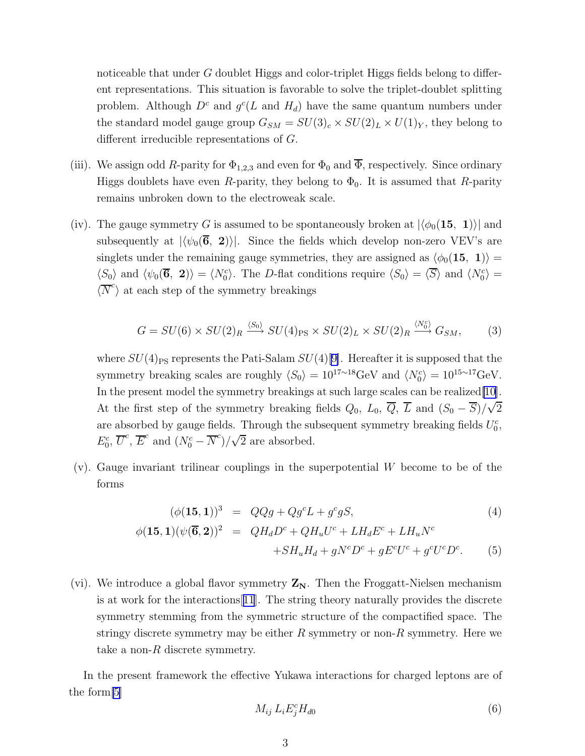<span id="page-2-0"></span>noticeable that under G doublet Higgs and color-triplet Higgs fields belong to different representations. This situation is favorable to solve the triplet-doublet splitting problem. Although  $D^c$  and  $g^c(L)$  and  $H_d$ ) have the same quantum numbers under the standard model gauge group  $G_{SM} = SU(3)_c \times SU(2)_L \times U(1)_Y$ , they belong to different irreducible representations of G.

- (iii). We assign odd R-parity for  $\Phi_{1,2,3}$  and even for  $\Phi_0$  and  $\overline{\Phi}$ , respectively. Since ordinary Higgs doublets have even R-parity, they belong to  $\Phi_0$ . It is assumed that R-parity remains unbroken down to the electroweak scale.
- (iv). The gauge symmetry G is assumed to be spontaneously broken at  $|\langle \phi_0(\mathbf{15}, \mathbf{1}) \rangle|$  and subsequently at  $|\langle \psi_0(\vec{6}, 2) \rangle|$ . Since the fields which develop non-zero VEV's are singlets under the remaining gauge symmetries, they are assigned as  $\langle \phi_0(15, 1) \rangle$  =  $\langle S_0 \rangle$  and  $\langle \psi_0(\overline{6}, 2) \rangle = \langle N_0^c \rangle$ . The D-flat conditions require  $\langle S_0 \rangle = \langle \overline{S} \rangle$  and  $\langle N_0^c \rangle =$  $\langle \overline{N}^c \rangle$  at each step of the symmetry breakings

$$
G = SU(6) \times SU(2)_R \xrightarrow{\langle S_0 \rangle} SU(4)_{\text{PS}} \times SU(2)_L \times SU(2)_R \xrightarrow{\langle N_0^c \rangle} G_{SM},\tag{3}
$$

where  $SU(4)_{\text{PS}}$  represents the Pati-Salam  $SU(4)[9]$  $SU(4)[9]$ . Hereafter it is supposed that the symmetry breaking scales are roughly  $\langle S_0 \rangle = 10^{17 \sim 18} \text{GeV}$  and  $\langle N_0^c \rangle = 10^{15 \sim 17} \text{GeV}$ . In the present model the symmetry breakings at such large scales can be realized[\[10](#page-13-0)]. At the first step of the symmetry breaking fields  $Q_0$ ,  $L_0$ ,  $\overline{Q}$ ,  $\overline{L}$  and  $(S_0 - \overline{S})/\sqrt{2}$ are absorbed by gauge fields. Through the subsequent symmetry breaking fields  $U_0^c$ ,  $E_0^c$ ,  $\overline{U}^c$ ,  $\overline{E}^c$  and  $(N_0^c - \overline{N}^c)/\sqrt{2}$  are absorbed.

(v). Gauge invariant trilinear couplings in the superpotential W become to be of the forms

$$
(\phi(\mathbf{15}, \mathbf{1}))^3 = QQg + Qg^c L + g^c g S,\tag{4}
$$

$$
\phi(\mathbf{15}, \mathbf{1})(\psi(\overline{\mathbf{6}}, \mathbf{2}))^2 = QH_dD^c + QH_uU^c + LH_dE^c + LH_uN^c
$$
  
+
$$
SH_uH_d + gN^cD^c + gE^cU^c + g^cU^cD^c. \tag{5}
$$

(vi). We introduce a global flavor symmetry  $Z_N$ . Then the Froggatt-Nielsen mechanism is at work for the interactions[[11](#page-13-0)]. The string theory naturally provides the discrete symmetry stemming from the symmetric structure of the compactified space. The stringy discrete symmetry may be either  $R$  symmetry or non- $R$  symmetry. Here we take a non- $R$  discrete symmetry.

In the present framework the effective Yukawa interactions for charged leptons are of the form[\[5](#page-12-0)]

$$
M_{ij} L_i E_j^c H_{d0} \tag{6}
$$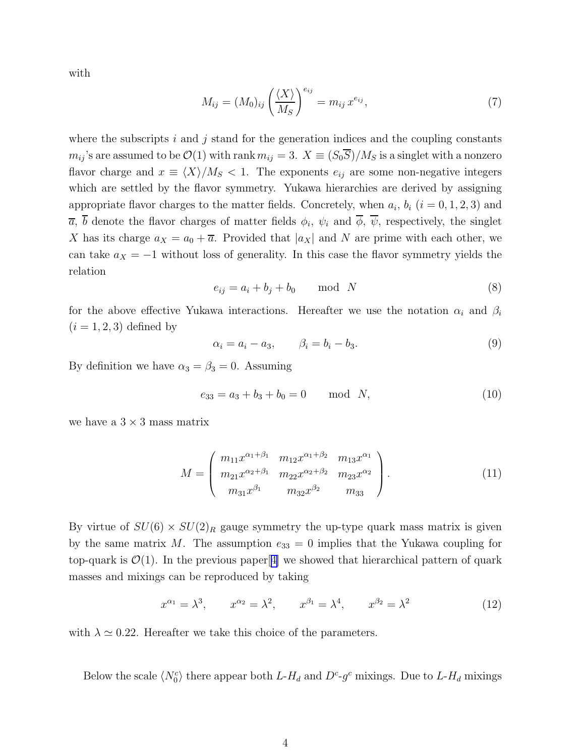<span id="page-3-0"></span>with

$$
M_{ij} = (M_0)_{ij} \left(\frac{\langle X \rangle}{M_S}\right)^{e_{ij}} = m_{ij} x^{e_{ij}}, \tag{7}
$$

where the subscripts i and j stand for the generation indices and the coupling constants  $m_{ij}$ 's are assumed to be  $\mathcal{O}(1)$  with rank  $m_{ij} = 3$ .  $X \equiv (S_0 \overline{S})/M_S$  is a singlet with a nonzero flavor charge and  $x \equiv \langle X \rangle / M_S < 1$ . The exponents  $e_{ij}$  are some non-negative integers which are settled by the flavor symmetry. Yukawa hierarchies are derived by assigning appropriate flavor charges to the matter fields. Concretely, when  $a_i$ ,  $b_i$   $(i = 0, 1, 2, 3)$  and  $\overline{a}$ , b denote the flavor charges of matter fields  $\phi_i$ ,  $\psi_i$  and  $\phi$ ,  $\psi$ , respectively, the singlet X has its charge  $a_X = a_0 + \overline{a}$ . Provided that  $|a_X|$  and N are prime with each other, we can take  $a_X = -1$  without loss of generality. In this case the flavor symmetry yields the relation

$$
e_{ij} = a_i + b_j + b_0 \qquad \text{mod} \quad N \tag{8}
$$

for the above effective Yukawa interactions. Hereafter we use the notation  $\alpha_i$  and  $\beta_i$  $(i = 1, 2, 3)$  defined by

$$
\alpha_i = a_i - a_3, \qquad \beta_i = b_i - b_3. \tag{9}
$$

By definition we have  $\alpha_3 = \beta_3 = 0$ . Assuming

$$
e_{33} = a_3 + b_3 + b_0 = 0 \quad \text{mod} \quad N,
$$
\n<sup>(10)</sup>

we have a  $3 \times 3$  mass matrix

$$
M = \begin{pmatrix} m_{11}x^{\alpha_1 + \beta_1} & m_{12}x^{\alpha_1 + \beta_2} & m_{13}x^{\alpha_1} \\ m_{21}x^{\alpha_2 + \beta_1} & m_{22}x^{\alpha_2 + \beta_2} & m_{23}x^{\alpha_2} \\ m_{31}x^{\beta_1} & m_{32}x^{\beta_2} & m_{33} \end{pmatrix}.
$$
 (11)

By virtue of  $SU(6) \times SU(2)_R$  gauge symmetry the up-type quark mass matrix is given by the same matrix M. The assumption  $e_{33} = 0$  implies that the Yukawa coupling for top-quark is  $\mathcal{O}(1)$ . In the previous paper[[4\]](#page-12-0) we showed that hierarchical pattern of quark masses and mixings can be reproduced by taking

$$
x^{\alpha_1} = \lambda^3
$$
,  $x^{\alpha_2} = \lambda^2$ ,  $x^{\beta_1} = \lambda^4$ ,  $x^{\beta_2} = \lambda^2$  (12)

with  $\lambda \simeq 0.22$ . Hereafter we take this choice of the parameters.

Below the scale  $\langle N_0^c \rangle$  there appear both  $L$ - $H_d$  and  $D^c$ - $g^c$  mixings. Due to  $L$ - $H_d$  mixings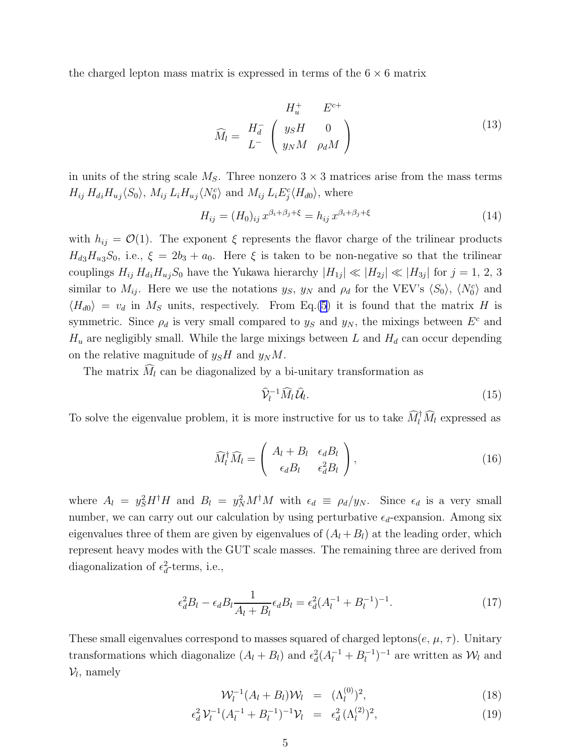<span id="page-4-0"></span>the charged lepton mass matrix is expressed in terms of the  $6 \times 6$  matrix

$$
\widehat{M}_l = \begin{array}{cc} H_u^+ & E^{c+} \\ H_d^- & \begin{pmatrix} y_S H & 0 \\ y_N M & \rho_d M \end{pmatrix} \end{array} \tag{13}
$$

in units of the string scale  $M_S$ . Three nonzero  $3 \times 3$  matrices arise from the mass terms  $H_{ij} H_{di} H_{uj} \langle S_0 \rangle$ ,  $M_{ij} L_i H_{uj} \langle N_0^c \rangle$  and  $M_{ij} L_i E_j^c \langle H_{d0} \rangle$ , where

$$
H_{ij} = (H_0)_{ij} x^{\beta_i + \beta_j + \xi} = h_{ij} x^{\beta_i + \beta_j + \xi}
$$
\n(14)

with  $h_{ij} = \mathcal{O}(1)$ . The exponent  $\xi$  represents the flavor charge of the trilinear products  $H_{d3}H_{u3}S_0$ , i.e.,  $\xi = 2b_3 + a_0$ . Here  $\xi$  is taken to be non-negative so that the trilinear couplings  $H_{ij} H_{di} H_{uj} S_0$  have the Yukawa hierarchy  $|H_{1j}| \ll |H_{2j}| \ll |H_{3j}|$  for  $j = 1, 2, 3$ similar to  $M_{ij}$ . Here we use the notations  $y_S$ ,  $y_N$  and  $\rho_d$  for the VEV's  $\langle S_0 \rangle$ ,  $\langle N_0^c \rangle$  and  $\langle H_{d0} \rangle = v_d$  in  $M_s$  units, respectively. From Eq.[\(5](#page-2-0)) it is found that the matrix H is symmetric. Since  $\rho_d$  is very small compared to  $y_S$  and  $y_N$ , the mixings between  $E^c$  and  $H_u$  are negligibly small. While the large mixings between L and  $H_d$  can occur depending on the relative magnitude of  $y_S H$  and  $y_N M$ .

The matrix  $\widehat{M}_l$  can be diagonalized by a bi-unitary transformation as

$$
\widehat{\mathcal{V}}_l^{-1} \widehat{M}_l \widehat{\mathcal{U}}_l. \tag{15}
$$

To solve the eigenvalue problem, it is more instructive for us to take  $\widehat{M}_l^{\dagger} \widehat{M}_l$  expressed as

$$
\widehat{M}_l^{\dagger} \widehat{M}_l = \begin{pmatrix} A_l + B_l & \epsilon_d B_l \\ \epsilon_d B_l & \epsilon_d^2 B_l \end{pmatrix},\tag{16}
$$

where  $A_l = y_S^2 H^{\dagger} H$  and  $B_l = y_N^2 M^{\dagger} M$  with  $\epsilon_d \equiv \rho_d/y_N$ . Since  $\epsilon_d$  is a very small number, we can carry out our calculation by using perturbative  $\epsilon_d$ -expansion. Among six eigenvalues three of them are given by eigenvalues of  $(A_l + B_l)$  at the leading order, which represent heavy modes with the GUT scale masses. The remaining three are derived from diagonalization of  $\epsilon_d^2$ -terms, i.e.,

$$
\epsilon_d^2 B_l - \epsilon_d B_l \frac{1}{A_l + B_l} \epsilon_d B_l = \epsilon_d^2 (A_l^{-1} + B_l^{-1})^{-1}.
$$
\n(17)

These small eigenvalues correspond to masses squared of charged leptons( $e, \mu, \tau$ ). Unitary transformations which diagonalize  $(A_l + B_l)$  and  $\epsilon_d^2 (A_l^{-1} + B_l^{-1})^{-1}$  are written as  $W_l$  and  $\mathcal{V}_l$ , namely

$$
\mathcal{W}_l^{-1}(A_l + B_l)\mathcal{W}_l = (\Lambda_l^{(0)})^2, \qquad (18)
$$

$$
\epsilon_d^2 \mathcal{V}_l^{-1} (A_l^{-1} + B_l^{-1})^{-1} \mathcal{V}_l = \epsilon_d^2 (\Lambda_l^{(2)})^2, \tag{19}
$$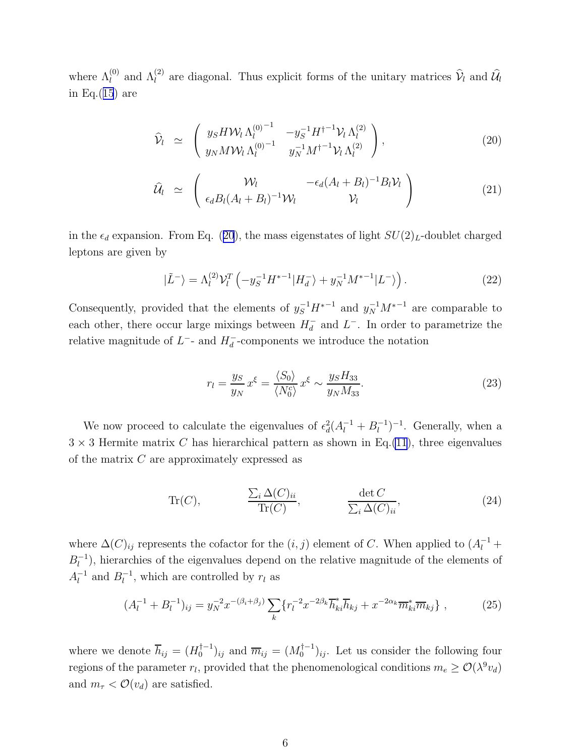<span id="page-5-0"></span>where  $\Lambda_l^{(0)}$  and  $\Lambda_l^{(2)}$  are diagonal. Thus explicit forms of the unitary matrices  $\hat{\mathcal{V}}_l$  and  $\hat{\mathcal{U}}_l$ in Eq. $(15)$  $(15)$  $(15)$  are

$$
\widehat{\mathcal{V}}_l \simeq \begin{pmatrix} y_S H \mathcal{W}_l \Lambda_l^{(0)-1} & -y_S^{-1} H^{\dagger -1} \mathcal{V}_l \Lambda_l^{(2)} \\ y_N M \mathcal{W}_l \Lambda_l^{(0)-1} & y_N^{-1} M^{\dagger -1} \mathcal{V}_l \Lambda_l^{(2)} \end{pmatrix}, \tag{20}
$$

$$
\widehat{\mathcal{U}}_l \simeq \begin{pmatrix} \mathcal{W}_l & -\epsilon_d (A_l + B_l)^{-1} B_l \mathcal{V}_l \\ \epsilon_d B_l (A_l + B_l)^{-1} \mathcal{W}_l & \mathcal{V}_l \end{pmatrix}
$$
(21)

in the  $\epsilon_d$  expansion. From Eq. (20), the mass eigenstates of light  $SU(2)_L$ -doublet charged leptons are given by

$$
|\tilde{L}^-\rangle = \Lambda_l^{(2)} \mathcal{V}_l^T \left(-y_S^{-1} H^{*-1} |H_d^-\rangle + y_N^{-1} M^{*-1} |L^-\rangle\right). \tag{22}
$$

Consequently, provided that the elements of  $y_S^{-1}H^{*-1}$  and  $y_N^{-1}M^{*-1}$  are comparable to each other, there occur large mixings between  $H_d^-$  and  $L^-$ . In order to parametrize the relative magnitude of  $L^-$ - and  $H_d^-$ -components we introduce the notation

$$
r_l = \frac{y_S}{y_N} x^{\xi} = \frac{\langle S_0 \rangle}{\langle N_0^c \rangle} x^{\xi} \sim \frac{y_S H_{33}}{y_N M_{33}}.
$$
\n(23)

We now proceed to calculate the eigenvalues of  $\epsilon_d^2(A_l^{-1}+B_l^{-1})^{-1}$ . Generally, when a  $3 \times 3$  Hermite matrix C has hierarchical pattern as shown in Eq.[\(11](#page-3-0)), three eigenvalues of the matrix C are approximately expressed as

Tr(C), 
$$
\frac{\sum_{i} \Delta(C)_{ii}}{\text{Tr}(C)}, \qquad \frac{\det C}{\sum_{i} \Delta(C)_{ii}}, \qquad (24)
$$

where  $\Delta(C)_{ij}$  represents the cofactor for the  $(i, j)$  element of C. When applied to  $(A<sub>i</sub><sup>-1</sup> +$  $B_l^{-1}$ ), hierarchies of the eigenvalues depend on the relative magnitude of the elements of  $A_l^{-1}$  and  $B_l^{-1}$ , which are controlled by  $r_l$  as

$$
(A_l^{-1} + B_l^{-1})_{ij} = y_N^{-2} x^{-(\beta_i + \beta_j)} \sum_k \{ r_l^{-2} x^{-2\beta_k} \overline{h}_{ki}^* \overline{h}_{kj} + x^{-2\alpha_k} \overline{m}_{ki}^* \overline{m}_{kj} \}, \qquad (25)
$$

where we denote  $\overline{h}_{ij} = (H_0^{\dagger -1})$  $\overline{m}_{ij}^{(-1)}_{ij}$  and  $\overline{m}_{ij} = (M_0^{(-1)})_{ij}$ . Let us consider the following four regions of the parameter  $r_l$ , provided that the phenomenological conditions  $m_e \geq \mathcal{O}(\lambda^9 v_d)$ and  $m_{\tau} < \mathcal{O}(v_d)$  are satisfied.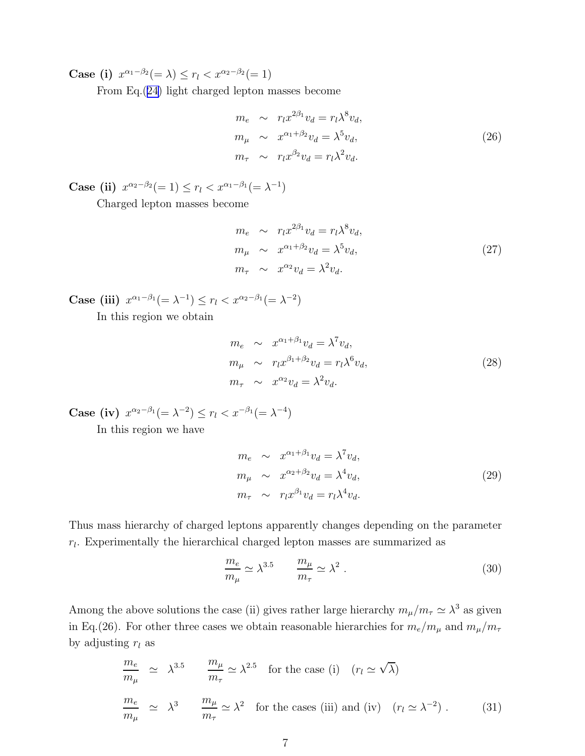Case (i)  $x^{\alpha_1-\beta_2}(=\lambda) \le r_l < x^{\alpha_2-\beta_2}(=1)$ 

From Eq.([24\)](#page-5-0) light charged lepton masses become

$$
m_e \sim r_l x^{2\beta_1} v_d = r_l \lambda^8 v_d,
$$
  
\n
$$
m_\mu \sim x^{\alpha_1 + \beta_2} v_d = \lambda^5 v_d,
$$
  
\n
$$
m_\tau \sim r_l x^{\beta_2} v_d = r_l \lambda^2 v_d.
$$
\n(26)

Case (ii)  $x^{\alpha_2-\beta_2}(=1) \le r_l < x^{\alpha_1-\beta_1}(=\lambda^{-1})$ 

Charged lepton masses become

$$
m_e \sim r_l x^{2\beta_1} v_d = r_l \lambda^8 v_d,
$$
  
\n
$$
m_\mu \sim x^{\alpha_1 + \beta_2} v_d = \lambda^5 v_d,
$$
  
\n
$$
m_\tau \sim x^{\alpha_2} v_d = \lambda^2 v_d.
$$
\n(27)

Case (iii)  $x^{\alpha_1-\beta_1}(=\lambda^{-1}) \le r_l < x^{\alpha_2-\beta_1}(=\lambda^{-2})$ In this region we obtain

$$
m_e \sim x^{\alpha_1 + \beta_1} v_d = \lambda^7 v_d,
$$
  
\n
$$
m_{\mu} \sim r_l x^{\beta_1 + \beta_2} v_d = r_l \lambda^6 v_d,
$$
  
\n
$$
m_{\tau} \sim x^{\alpha_2} v_d = \lambda^2 v_d.
$$
\n(28)

Case (iv)  $x^{\alpha_2-\beta_1}(=\lambda^{-2}) \le r_l < x^{-\beta_1}(=\lambda^{-4})$ 

In this region we have

$$
m_e \sim x^{\alpha_1 + \beta_1} v_d = \lambda^7 v_d,
$$
  
\n
$$
m_\mu \sim x^{\alpha_2 + \beta_2} v_d = \lambda^4 v_d,
$$
  
\n
$$
m_\tau \sim r_l x^{\beta_1} v_d = r_l \lambda^4 v_d.
$$
\n(29)

Thus mass hierarchy of charged leptons apparently changes depending on the parameter  $r_l$ . Experimentally the hierarchical charged lepton masses are summarized as

$$
\frac{m_e}{m_\mu} \simeq \lambda^{3.5} \qquad \frac{m_\mu}{m_\tau} \simeq \lambda^2 \ . \tag{30}
$$

Among the above solutions the case (ii) gives rather large hierarchy  $m_{\mu}/m_{\tau} \simeq \lambda^3$  as given in Eq.(26). For other three cases we obtain reasonable hierarchies for  $m_e/m_\mu$  and  $m_\mu/m_\tau$ by adjusting  $r_l$  as

$$
\frac{m_e}{m_\mu} \simeq \lambda^{3.5} \qquad \frac{m_\mu}{m_\tau} \simeq \lambda^{2.5} \quad \text{for the case (i)} \quad (r_l \simeq \sqrt{\lambda})
$$
\n
$$
\frac{m_e}{m_\mu} \simeq \lambda^3 \qquad \frac{m_\mu}{m_\tau} \simeq \lambda^2 \quad \text{for the cases (iii) and (iv)} \quad (r_l \simeq \lambda^{-2}) \; . \tag{31}
$$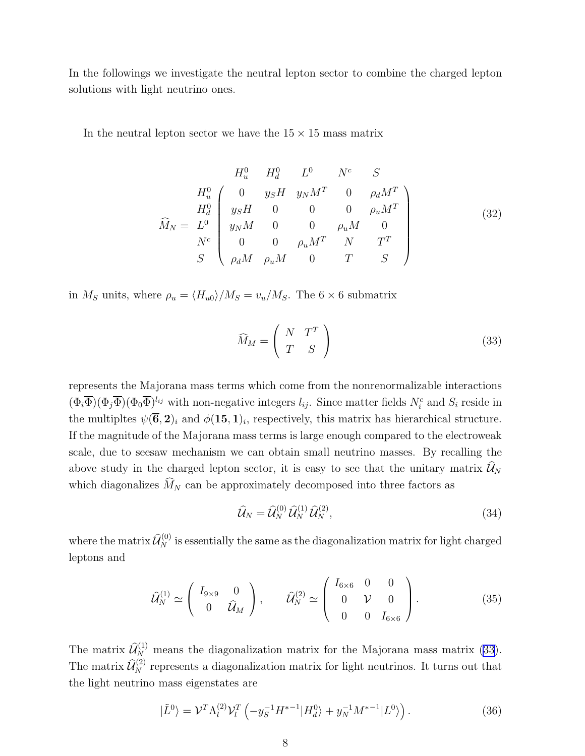<span id="page-7-0"></span>In the followings we investigate the neutral lepton sector to combine the charged lepton solutions with light neutrino ones.

In the neutral lepton sector we have the  $15 \times 15$  mass matrix

$$
\widehat{M}_{u} = H_{u}^{0} \begin{pmatrix}\nH_{u}^{0} & H_{d}^{0} & L^{0} & N^{c} & S \\
0 & y_{S}H & y_{N}M^{T} & 0 & \rho_{d}M^{T} \\
y_{S}H & 0 & 0 & 0 & \rho_{u}M^{T} \\
0 & 0 & 0 & \rho_{u}M & 0 \\
0 & 0 & \rho_{u}M^{T} & N & T^{T} \\
0 & \rho_{d}M & \rho_{u}M & 0 & T & S\n\end{pmatrix}
$$
\n(32)

in  $M_S$  units, where  $\rho_u = \langle H_{u0} \rangle / M_S = v_u / M_S$ . The 6 × 6 submatrix

$$
\widehat{M}_M = \left(\begin{array}{cc} N & T^T \\ T & S \end{array}\right) \tag{33}
$$

represents the Majorana mass terms which come from the nonrenormalizable interactions  $(\Phi_i \overline{\Phi})(\Phi_j \overline{\Phi})^{l_{ij}}$  with non-negative integers  $l_{ij}$ . Since matter fields  $N_i^c$  and  $S_i$  reside in the multipltes  $\psi(\overline{6},2)_i$  and  $\phi(15,1)_i$ , respectively, this matrix has hierarchical structure. If the magnitude of the Majorana mass terms is large enough compared to the electroweak scale, due to seesaw mechanism we can obtain small neutrino masses. By recalling the above study in the charged lepton sector, it is easy to see that the unitary matrix  $\widehat{\mathcal{U}}_N$ which diagonalizes  $\widehat{M}_N$  can be approximately decomposed into three factors as

$$
\widehat{\mathcal{U}}_N = \widehat{\mathcal{U}}_N^{(0)} \,\widehat{\mathcal{U}}_N^{(1)} \,\widehat{\mathcal{U}}_N^{(2)},\tag{34}
$$

where the matrix  $\widehat{\mathcal{U}}^{(0)}_{N}$  is essentially the same as the diagonalization matrix for light charged leptons and

$$
\widehat{\mathcal{U}}_{N}^{(1)} \simeq \begin{pmatrix} I_{9\times 9} & 0 \\ 0 & \widehat{\mathcal{U}}_{M} \end{pmatrix}, \qquad \widehat{\mathcal{U}}_{N}^{(2)} \simeq \begin{pmatrix} I_{6\times 6} & 0 & 0 \\ 0 & \mathcal{V} & 0 \\ 0 & 0 & I_{6\times 6} \end{pmatrix}.
$$
 (35)

The matrix  $\widehat{\mathcal{U}}_{N}^{(1)}$  means the diagonalization matrix for the Majorana mass matrix (33). The matrix  $\widehat{\mathcal{U}}_N^{(2)}$  represents a diagonalization matrix for light neutrinos. It turns out that the light neutrino mass eigenstates are

$$
|\tilde{L}^{0}\rangle = \mathcal{V}^{T}\Lambda_{l}^{(2)}\mathcal{V}_{l}^{T}\left(-y_{S}^{-1}H^{*-1}|H_{d}^{0}\rangle + y_{N}^{-1}M^{*-1}|L^{0}\rangle\right). \tag{36}
$$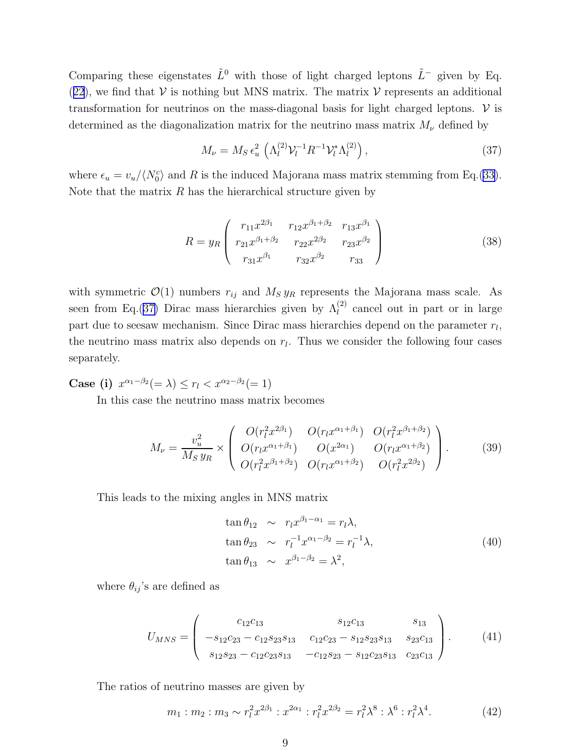Comparing these eigenstates  $\tilde{L}^0$  with those of light charged leptons  $\tilde{L}^-$  given by Eq. ([22](#page-5-0)), we find that  $V$  is nothing but MNS matrix. The matrix  $V$  represents an additional transformation for neutrinos on the mass-diagonal basis for light charged leptons.  $V$  is determined as the diagonalization matrix for the neutrino mass matrix  $M_{\nu}$  defined by

$$
M_{\nu} = M_S \,\epsilon_u^2 \, \left( \Lambda_l^{(2)} \mathcal{V}_l^{-1} R^{-1} \mathcal{V}_l^* \Lambda_l^{(2)} \right), \tag{37}
$$

where  $\epsilon_u = v_u / \langle N_0^c \rangle$  and R is the induced Majorana mass matrix stemming from Eq.([33\)](#page-7-0). Note that the matrix  $R$  has the hierarchical structure given by

$$
R = y_R \begin{pmatrix} r_{11}x^{2\beta_1} & r_{12}x^{\beta_1+\beta_2} & r_{13}x^{\beta_1} \\ r_{21}x^{\beta_1+\beta_2} & r_{22}x^{2\beta_2} & r_{23}x^{\beta_2} \\ r_{31}x^{\beta_1} & r_{32}x^{\beta_2} & r_{33} \end{pmatrix}
$$
 (38)

with symmetric  $\mathcal{O}(1)$  numbers  $r_{ij}$  and  $M_S y_R$  represents the Majorana mass scale. As seen from Eq.(37) Dirac mass hierarchies given by  $\Lambda_l^{(2)}$  cancel out in part or in large part due to seesaw mechanism. Since Dirac mass hierarchies depend on the parameter  $r_l$ , the neutrino mass matrix also depends on  $r_l$ . Thus we consider the following four cases separately.

**Case (i)**  $x^{\alpha_1-\beta_2}(=\lambda) \le r_l < x^{\alpha_2-\beta_2}(=1)$ 

In this case the neutrino mass matrix becomes

$$
M_{\nu} = \frac{v_u^2}{M_S y_R} \times \begin{pmatrix} O(r_l^2 x^{2\beta_1}) & O(r_l x^{\alpha_1 + \beta_1}) & O(r_l^2 x^{\beta_1 + \beta_2}) \\ O(r_l x^{\alpha_1 + \beta_1}) & O(x^{2\alpha_1}) & O(r_l x^{\alpha_1 + \beta_2}) \\ O(r_l^2 x^{\beta_1 + \beta_2}) & O(r_l x^{\alpha_1 + \beta_2}) & O(r_l^2 x^{2\beta_2}) \end{pmatrix} . \tag{39}
$$

This leads to the mixing angles in MNS matrix

$$
\tan \theta_{12} \sim r_l x^{\beta_1 - \alpha_1} = r_l \lambda,
$$
  
\n
$$
\tan \theta_{23} \sim r_l^{-1} x^{\alpha_1 - \beta_2} = r_l^{-1} \lambda,
$$
  
\n
$$
\tan \theta_{13} \sim x^{\beta_1 - \beta_2} = \lambda^2,
$$
\n(40)

where  $\theta_{ij}$ 's are defined as

$$
U_{MNS} = \begin{pmatrix} c_{12}c_{13} & s_{12}c_{13} & s_{13} \\ -s_{12}c_{23} - c_{12}s_{23}s_{13} & c_{12}c_{23} - s_{12}s_{23}s_{13} & s_{23}c_{13} \\ s_{12}s_{23} - c_{12}c_{23}s_{13} & -c_{12}s_{23} - s_{12}c_{23}s_{13} & c_{23}c_{13} \end{pmatrix}.
$$
 (41)

The ratios of neutrino masses are given by

$$
m_1: m_2: m_3 \sim r_l^2 x^{2\beta_1}: x^{2\alpha_1}: r_l^2 x^{2\beta_2} = r_l^2 \lambda^8: \lambda^6: r_l^2 \lambda^4. \tag{42}
$$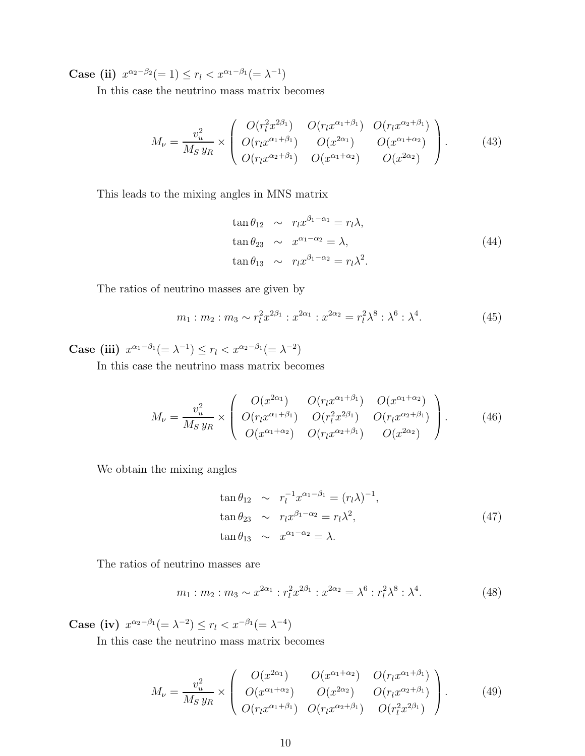Case (ii)  $x^{\alpha_2-\beta_2}(=1) \le r_l < x^{\alpha_1-\beta_1}(=\lambda^{-1})$ 

In this case the neutrino mass matrix becomes

$$
M_{\nu} = \frac{v_u^2}{M_S y_R} \times \begin{pmatrix} O(r_l^2 x^{2\beta_1}) & O(r_l x^{\alpha_1 + \beta_1}) & O(r_l x^{\alpha_2 + \beta_1}) \\ O(r_l x^{\alpha_1 + \beta_1}) & O(x^{2\alpha_1}) & O(x^{\alpha_1 + \alpha_2}) \\ O(r_l x^{\alpha_2 + \beta_1}) & O(x^{\alpha_1 + \alpha_2}) & O(x^{2\alpha_2}) \end{pmatrix} . \tag{43}
$$

This leads to the mixing angles in MNS matrix

$$
\tan \theta_{12} \sim r_l x^{\beta_1 - \alpha_1} = r_l \lambda,
$$
  
\n
$$
\tan \theta_{23} \sim x^{\alpha_1 - \alpha_2} = \lambda,
$$
  
\n
$$
\tan \theta_{13} \sim r_l x^{\beta_1 - \alpha_2} = r_l \lambda^2.
$$
\n(44)

The ratios of neutrino masses are given by

$$
m_1: m_2: m_3 \sim r_l^2 x^{2\beta_1}: x^{2\alpha_1}: x^{2\alpha_2} = r_l^2 \lambda^8: \lambda^6: \lambda^4.
$$
 (45)

Case (iii)  $x^{\alpha_1-\beta_1}(=\lambda^{-1}) \le r_l < x^{\alpha_2-\beta_1}(=\lambda^{-2})$ 

In this case the neutrino mass matrix becomes

$$
M_{\nu} = \frac{v_u^2}{M_S y_R} \times \begin{pmatrix} O(x^{2\alpha_1}) & O(r_l x^{\alpha_1 + \beta_1}) & O(x^{\alpha_1 + \alpha_2}) \\ O(r_l x^{\alpha_1 + \beta_1}) & O(r_l^2 x^{2\beta_1}) & O(r_l x^{\alpha_2 + \beta_1}) \\ O(x^{\alpha_1 + \alpha_2}) & O(r_l x^{\alpha_2 + \beta_1}) & O(x^{2\alpha_2}) \end{pmatrix} . \tag{46}
$$

We obtain the mixing angles

$$
\tan \theta_{12} \sim r_l^{-1} x^{\alpha_1 - \beta_1} = (r_l \lambda)^{-1},
$$
  
\n
$$
\tan \theta_{23} \sim r_l x^{\beta_1 - \alpha_2} = r_l \lambda^2,
$$
  
\n
$$
\tan \theta_{13} \sim x^{\alpha_1 - \alpha_2} = \lambda.
$$
\n(47)

The ratios of neutrino masses are

$$
m_1: m_2: m_3 \sim x^{2\alpha_1}: r_l^2 x^{2\beta_1}: x^{2\alpha_2} = \lambda^6: r_l^2 \lambda^8: \lambda^4. \tag{48}
$$

Case (iv)  $x^{\alpha_2-\beta_1}(=\lambda^{-2}) \le r_l < x^{-\beta_1}(=\lambda^{-4})$ 

In this case the neutrino mass matrix becomes

$$
M_{\nu} = \frac{v_u^2}{M_S y_R} \times \begin{pmatrix} O(x^{2\alpha_1}) & O(x^{\alpha_1 + \alpha_2}) & O(r_l x^{\alpha_1 + \beta_1}) \\ O(x^{\alpha_1 + \alpha_2}) & O(x^{2\alpha_2}) & O(r_l x^{\alpha_2 + \beta_1}) \\ O(r_l x^{\alpha_1 + \beta_1}) & O(r_l x^{\alpha_2 + \beta_1}) & O(r_l^2 x^{2\beta_1}) \end{pmatrix} . \tag{49}
$$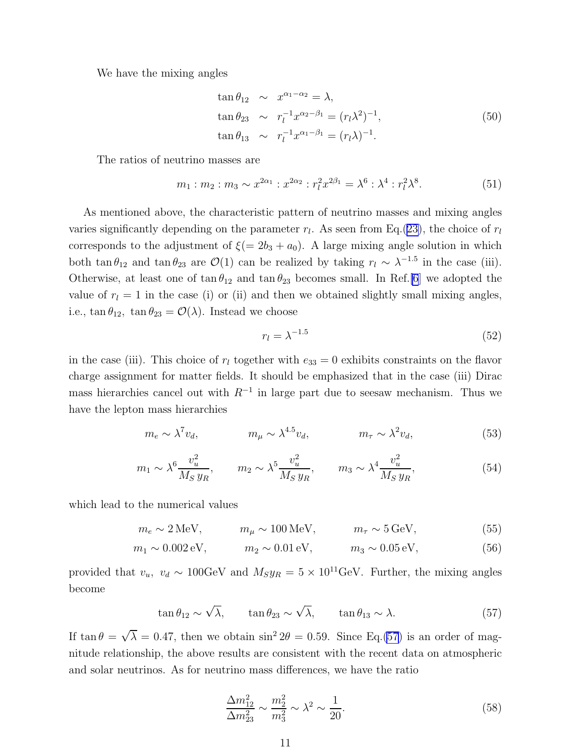We have the mixing angles

$$
\tan \theta_{12} \sim x^{\alpha_1 - \alpha_2} = \lambda,
$$
  
\n
$$
\tan \theta_{23} \sim r_l^{-1} x^{\alpha_2 - \beta_1} = (r_l \lambda^2)^{-1},
$$
  
\n
$$
\tan \theta_{13} \sim r_l^{-1} x^{\alpha_1 - \beta_1} = (r_l \lambda)^{-1}.
$$
\n(50)

The ratios of neutrino masses are

$$
m_1: m_2: m_3 \sim x^{2\alpha_1}: x^{2\alpha_2}: r_l^2 x^{2\beta_1} = \lambda^6: \lambda^4: r_l^2 \lambda^8. \tag{51}
$$

As mentioned above, the characteristic pattern of neutrino masses and mixing angles varies significantly depending on the parameter  $r_l$ . As seen from Eq.([23\)](#page-5-0), the choice of  $r_l$ corresponds to the adjustment of  $\xi(= 2b_3 + a_0)$ . A large mixing angle solution in which both  $\tan \theta_{12}$  and  $\tan \theta_{23}$  are  $\mathcal{O}(1)$  can be realized by taking  $r_l \sim \lambda^{-1.5}$  in the case (iii). Otherwise, at least one of  $\tan \theta_{12}$  and  $\tan \theta_{23}$  becomes small. In Ref.[\[6](#page-12-0)] we adopted the value of  $r_l = 1$  in the case (i) or (ii) and then we obtained slightly small mixing angles, i.e.,  $\tan \theta_{12}$ ,  $\tan \theta_{23} = \mathcal{O}(\lambda)$ . Instead we choose

$$
r_l = \lambda^{-1.5} \tag{52}
$$

in the case (iii). This choice of  $r_l$  together with  $e_{33} = 0$  exhibits constraints on the flavor charge assignment for matter fields. It should be emphasized that in the case (iii) Dirac mass hierarchies cancel out with  $R^{-1}$  in large part due to seesaw mechanism. Thus we have the lepton mass hierarchies

$$
m_e \sim \lambda^7 v_d, \qquad m_\mu \sim \lambda^{4.5} v_d, \qquad m_\tau \sim \lambda^2 v_d, \qquad (53)
$$

$$
m_1 \sim \lambda^6 \frac{v_u^2}{M_S y_R}, \qquad m_2 \sim \lambda^5 \frac{v_u^2}{M_S y_R}, \qquad m_3 \sim \lambda^4 \frac{v_u^2}{M_S y_R}, \tag{54}
$$

which lead to the numerical values

$$
m_e \sim 2 \,\text{MeV}, \qquad m_\mu \sim 100 \,\text{MeV}, \qquad m_\tau \sim 5 \,\text{GeV}, \tag{55}
$$

$$
m_1 \sim 0.002 \text{ eV}, \qquad m_2 \sim 0.01 \text{ eV}, \qquad m_3 \sim 0.05 \text{ eV},
$$
 (56)

provided that  $v_u$ ,  $v_d \sim 100 \text{GeV}$  and  $M_S y_R = 5 \times 10^{11} \text{GeV}$ . Further, the mixing angles become

$$
\tan \theta_{12} \sim \sqrt{\lambda}, \qquad \tan \theta_{23} \sim \sqrt{\lambda}, \qquad \tan \theta_{13} \sim \lambda. \tag{57}
$$

If  $\tan \theta = \sqrt{\lambda} = 0.47$ , then we obtain  $\sin^2 2\theta = 0.59$ . Since Eq.(57) is an order of magnitude relationship, the above results are consistent with the recent data on atmospheric and solar neutrinos. As for neutrino mass differences, we have the ratio

$$
\frac{\Delta m_{12}^2}{\Delta m_{23}^2} \sim \frac{m_2^2}{m_3^2} \sim \lambda^2 \sim \frac{1}{20}.\tag{58}
$$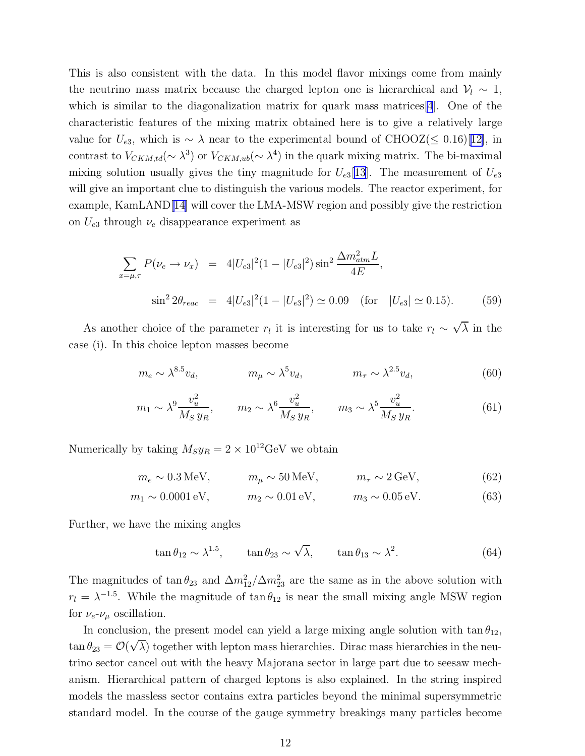This is also consistent with the data. In this model flavor mixings come from mainly the neutrino mass matrix because the charged lepton one is hierarchical and  $\mathcal{V}_l \sim 1$ , which is similar to the diagonalization matrix for quark mass matrices [\[4](#page-12-0)]. One of the characteristic features of the mixing matrix obtained here is to give a relatively large value for  $U_{e3}$ , which is ∼  $\lambda$  near to the experimental bound of CHOOZ( $\leq$  0.16)[[12\]](#page-13-0), in contrast to  $V_{CKM,td}(\sim \lambda^3)$  or  $V_{CKM,ub}(\sim \lambda^4)$  in the quark mixing matrix. The bi-maximal mixing solution usually gives the tiny magnitude for  $U_{e3}[13]$  $U_{e3}[13]$ . The measurement of  $U_{e3}$ will give an important clue to distinguish the various models. The reactor experiment, for example, KamLAND[\[14\]](#page-13-0) will cover the LMA-MSW region and possibly give the restriction on  $U_{e3}$  through  $\nu_e$  disappearance experiment as

$$
\sum_{x=\mu,\tau} P(\nu_e \to \nu_x) = 4|U_{e3}|^2 (1 - |U_{e3}|^2) \sin^2 \frac{\Delta m_{atm}^2 L}{4E},
$$
  

$$
\sin^2 2\theta_{reac} = 4|U_{e3}|^2 (1 - |U_{e3}|^2) \simeq 0.09 \quad \text{(for} \quad |U_{e3}| \simeq 0.15). \tag{59}
$$

As another choice of the parameter  $r_l$  it is interesting for us to take  $r_l \sim \sqrt{\lambda}$  in the case (i). In this choice lepton masses become

$$
m_e \sim \lambda^{8.5} v_d, \qquad m_\mu \sim \lambda^5 v_d, \qquad m_\tau \sim \lambda^{2.5} v_d, \qquad (60)
$$

$$
m_1 \sim \lambda^9 \frac{v_u^2}{M_S y_R}, \qquad m_2 \sim \lambda^6 \frac{v_u^2}{M_S y_R}, \qquad m_3 \sim \lambda^5 \frac{v_u^2}{M_S y_R}.
$$
 (61)

Numerically by taking  $M_S y_R = 2 \times 10^{12} \text{GeV}$  we obtain

$$
m_e \sim 0.3 \,\text{MeV}, \qquad m_\mu \sim 50 \,\text{MeV}, \qquad m_\tau \sim 2 \,\text{GeV}, \tag{62}
$$

$$
m_1 \sim 0.0001 \text{ eV}, \qquad m_2 \sim 0.01 \text{ eV}, \qquad m_3 \sim 0.05 \text{ eV}.
$$
 (63)

Further, we have the mixing angles

$$
\tan \theta_{12} \sim \lambda^{1.5}, \qquad \tan \theta_{23} \sim \sqrt{\lambda}, \qquad \tan \theta_{13} \sim \lambda^2. \tag{64}
$$

The magnitudes of  $\tan \theta_{23}$  and  $\Delta m_{12}^2/\Delta m_{23}^2$  are the same as in the above solution with  $r_l = \lambda^{-1.5}$ . While the magnitude of  $\tan \theta_{12}$  is near the small mixing angle MSW region for  $\nu_e$ - $\nu_\mu$  oscillation.

In conclusion, the present model can yield a large mixing angle solution with  $\tan \theta_{12}$ ,  $\tan \theta_{23} = \mathcal{O}(\sqrt{\lambda})$  together with lepton mass hierarchies. Dirac mass hierarchies in the neutrino sector cancel out with the heavy Majorana sector in large part due to seesaw mechanism. Hierarchical pattern of charged leptons is also explained. In the string inspired models the massless sector contains extra particles beyond the minimal supersymmetric standard model. In the course of the gauge symmetry breakings many particles become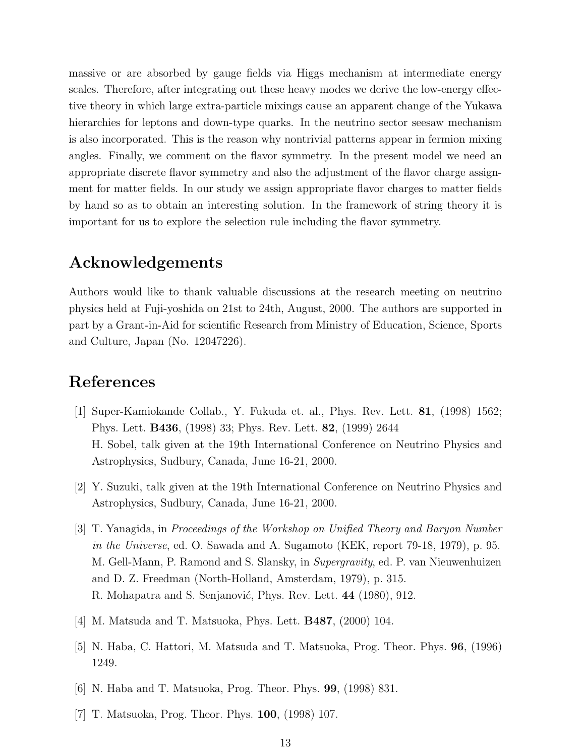<span id="page-12-0"></span>massive or are absorbed by gauge fields via Higgs mechanism at intermediate energy scales. Therefore, after integrating out these heavy modes we derive the low-energy effective theory in which large extra-particle mixings cause an apparent change of the Yukawa hierarchies for leptons and down-type quarks. In the neutrino sector seesaw mechanism is also incorporated. This is the reason why nontrivial patterns appear in fermion mixing angles. Finally, we comment on the flavor symmetry. In the present model we need an appropriate discrete flavor symmetry and also the adjustment of the flavor charge assignment for matter fields. In our study we assign appropriate flavor charges to matter fields by hand so as to obtain an interesting solution. In the framework of string theory it is important for us to explore the selection rule including the flavor symmetry.

## Acknowledgements

Authors would like to thank valuable discussions at the research meeting on neutrino physics held at Fuji-yoshida on 21st to 24th, August, 2000. The authors are supported in part by a Grant-in-Aid for scientific Research from Ministry of Education, Science, Sports and Culture, Japan (No. 12047226).

## References

- [1] Super-Kamiokande Collab., Y. Fukuda et. al., Phys. Rev. Lett. 81, (1998) 1562; Phys. Lett. B436, (1998) 33; Phys. Rev. Lett. 82, (1999) 2644 H. Sobel, talk given at the 19th International Conference on Neutrino Physics and Astrophysics, Sudbury, Canada, June 16-21, 2000.
- [2] Y. Suzuki, talk given at the 19th International Conference on Neutrino Physics and Astrophysics, Sudbury, Canada, June 16-21, 2000.
- [3] T. Yanagida, in Proceedings of the Workshop on Unified Theory and Baryon Number in the Universe, ed. O. Sawada and A. Sugamoto (KEK, report 79-18, 1979), p. 95. M. Gell-Mann, P. Ramond and S. Slansky, in Supergravity, ed. P. van Nieuwenhuizen and D. Z. Freedman (North-Holland, Amsterdam, 1979), p. 315. R. Mohapatra and S. Senjanović, Phys. Rev. Lett. 44 (1980), 912.
- [4] M. Matsuda and T. Matsuoka, Phys. Lett. B487, (2000) 104.
- [5] N. Haba, C. Hattori, M. Matsuda and T. Matsuoka, Prog. Theor. Phys. 96, (1996) 1249.
- [6] N. Haba and T. Matsuoka, Prog. Theor. Phys. 99, (1998) 831.
- [7] T. Matsuoka, Prog. Theor. Phys. 100, (1998) 107.